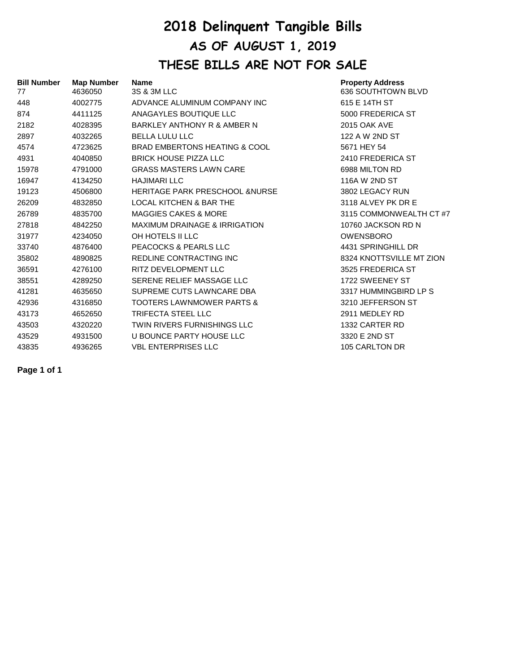## **2018 Delinquent Tangible Bills AS OF AUGUST 1, 2019 THESE BILLS ARE NOT FOR SALE**

| <b>Bill Number</b><br>77 | <b>Map Number</b><br>4636050 | <b>Name</b><br>3S & 3M LLC                | <b>Property Address</b><br>636 SOUTHTOWN BLVD |
|--------------------------|------------------------------|-------------------------------------------|-----------------------------------------------|
| 448                      | 4002775                      | ADVANCE ALUMINUM COMPANY INC              | 615 E 14TH ST                                 |
| 874                      | 4411125                      | ANAGAYLES BOUTIQUE LLC                    | 5000 FREDERICA ST                             |
| 2182                     | 4028395                      | BARKLEY ANTHONY R & AMBER N               | <b>2015 OAK AVE</b>                           |
| 2897                     | 4032265                      | <b>BELLA LULU LLC</b>                     | 122 A W 2ND ST                                |
| 4574                     | 4723625                      | BRAD EMBERTONS HEATING & COOL             | 5671 HEY 54                                   |
| 4931                     | 4040850                      | <b>BRICK HOUSE PIZZA LLC</b>              | 2410 FREDERICA ST                             |
| 15978                    | 4791000                      | <b>GRASS MASTERS LAWN CARE</b>            | 6988 MILTON RD                                |
| 16947                    | 4134250                      | <b>HAJIMARI LLC</b>                       | 116A W 2ND ST                                 |
| 19123                    | 4506800                      | <b>HERITAGE PARK PRESCHOOL &amp;NURSE</b> | 3802 LEGACY RUN                               |
| 26209                    | 4832850                      | <b>LOCAL KITCHEN &amp; BAR THE</b>        | 3118 ALVEY PK DR E                            |
| 26789                    | 4835700                      | <b>MAGGIES CAKES &amp; MORE</b>           | 3115 COMMONWEALTH CT #7                       |
| 27818                    | 4842250                      | <b>MAXIMUM DRAINAGE &amp; IRRIGATION</b>  | 10760 JACKSON RD N                            |
| 31977                    | 4234050                      | OH HOTELS II LLC                          | <b>OWENSBORO</b>                              |
| 33740                    | 4876400                      | PEACOCKS & PEARLS LLC                     | 4431 SPRINGHILL DR                            |
| 35802                    | 4890825                      | REDLINE CONTRACTING INC                   | 8324 KNOTTSVILLE MT ZION                      |
| 36591                    | 4276100                      | RITZ DEVELOPMENT LLC                      | 3525 FREDERICA ST                             |
| 38551                    | 4289250                      | SERENE RELIEF MASSAGE LLC                 | 1722 SWEENEY ST                               |
| 41281                    | 4635650                      | SUPREME CUTS LAWNCARE DBA                 | 3317 HUMMINGBIRD LP S                         |
| 42936                    | 4316850                      | <b>TOOTERS LAWNMOWER PARTS &amp;</b>      | 3210 JEFFERSON ST                             |
| 43173                    | 4652650                      | <b>TRIFECTA STEEL LLC</b>                 | 2911 MEDLEY RD                                |
| 43503                    | 4320220                      | <b>TWIN RIVERS FURNISHINGS LLC</b>        | 1332 CARTER RD                                |
| 43529                    | 4931500                      | U BOUNCE PARTY HOUSE LLC                  | 3320 E 2ND ST                                 |
| 43835                    | 4936265                      | <b>VBL ENTERPRISES LLC</b>                | 105 CARLTON DR                                |

**Page 1 of 1**